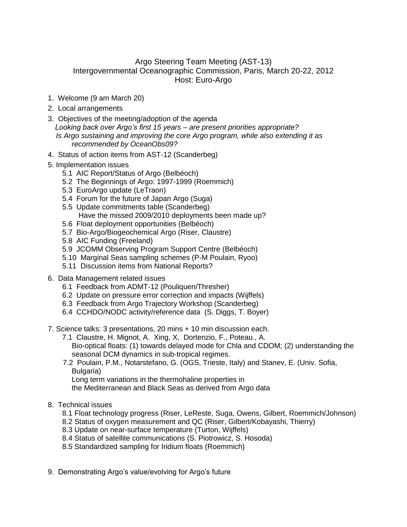## Argo Steering Team Meeting (AST-13) Intergovernmental Oceanographic Commission, Paris, March 20-22, 2012 Host: Euro-Argo

- 1. Welcome (9 am March 20)
- 2. Local arrangements
- 3. Objectives of the meeting/adoption of the agenda *Looking back over Argo's first 15 years – are present priorities appropriate? Is Argo sustaining and improving the core Argo program, while also extending it as recommended by OceanObs09?*
- 4. Status of action items from AST-12 (Scanderbeg)
- 5. Implementation issues
	- 5.1 AIC Report/Status of Argo (Belbéoch)
		- 5.2 The Beginnings of Argo: 1997-1999 (Roemmich)
		- 5.3 EuroArgo update (LeTraon)
		- 5.4 Forum for the future of Japan Argo (Suga)
		- 5.5 Update commitments table (Scanderbeg)
			- Have the missed 2009/2010 deployments been made up?
		- 5.6 Float deployment opportunities (Belbéoch)
		- 5.7 Bio-Argo/Biogeochemical Argo (Riser, Claustre)
		- 5.8 AIC Funding (Freeland)
		- 5.9 JCOMM Observing Program Support Centre (Belbéoch)
		- 5.10 Marginal Seas sampling schemes (P-M Poulain, Ryoo)
		- 5.11 Discussion items from National Reports?
- 6. Data Management related issues
	- 6.1 Feedback from ADMT-12 (Pouliquen/Thresher)
	- 6.2 Update on pressure error correction and impacts (Wijffels)
	- 6.3 Feedback from Argo Trajectory Workshop (Scanderbeg)
	- 6.4 CCHDO/NODC activity/reference data (S. Diggs, T. Boyer)
- 7. Science talks: 3 presentations, 20 mins + 10 min discussion each.
	- 7.1 Claustre, H. Mignot, A. Xing, X, Dortenzio, F., Poteau., A. Bio-optical floats: (1) towards delayed mode for Chla and CDOM; (2) understanding the seasonal DCM dynamics in sub-tropical regimes.
	- 7.2 Poulain, P.M., Notarstefano, G. (OGS, Trieste, Italy) and Stanev, E. (Univ. Sofia, Bulgaria)

Long term variations in the thermohaline properties in

the Mediterranean and Black Seas as derived from Argo data

- 8. Technical issues
	- 8.1 Float technology progress (Riser, LeReste, Suga, Owens, Gilbert, Roemmich/Johnson)
	- 8.2 Status of oxygen measurement and QC (Riser, Gilbert/Kobayashi, Thierry)
	- 8.3 Update on near-surface temperature (Turton, Wijffels)
	- 8.4 Status of satellite communications (S. Piotrowicz, S. Hosoda)
	- 8.5 Standardized sampling for Iridium floats (Roemmich)
- 9. Demonstrating Argo's value/evolving for Argo's future